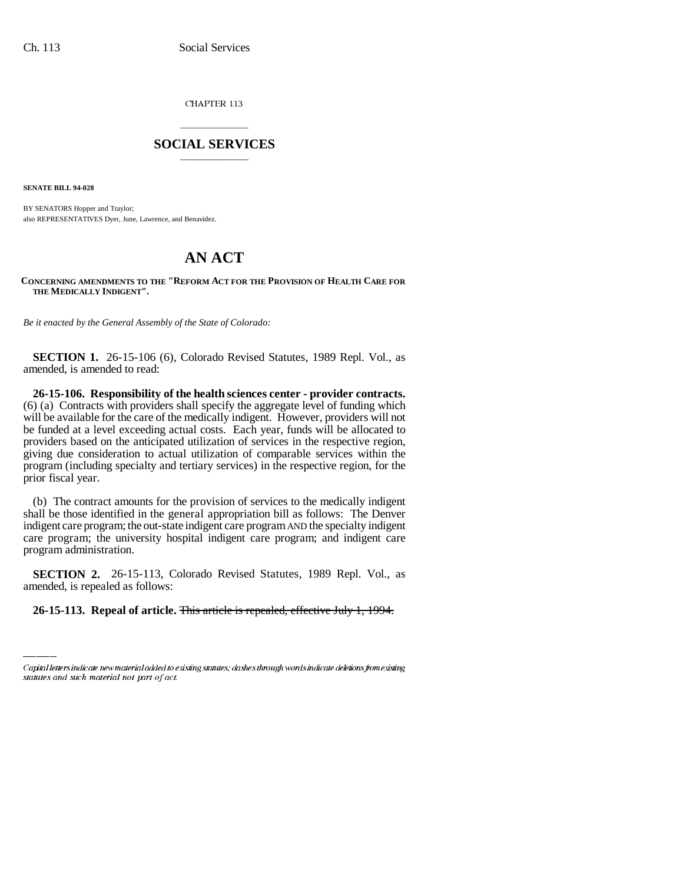CHAPTER 113

## \_\_\_\_\_\_\_\_\_\_\_\_\_\_\_ **SOCIAL SERVICES** \_\_\_\_\_\_\_\_\_\_\_\_\_\_\_

**SENATE BILL 94-028**

BY SENATORS Hopper and Traylor; also REPRESENTATIVES Dyer, June, Lawrence, and Benavidez.

## **AN ACT**

## **CONCERNING AMENDMENTS TO THE "REFORM ACT FOR THE PROVISION OF HEALTH CARE FOR THE MEDICALLY INDIGENT".**

*Be it enacted by the General Assembly of the State of Colorado:*

**SECTION 1.** 26-15-106 (6), Colorado Revised Statutes, 1989 Repl. Vol., as amended, is amended to read:

**26-15-106. Responsibility of the health sciences center - provider contracts.** (6) (a) Contracts with providers shall specify the aggregate level of funding which will be available for the care of the medically indigent. However, providers will not be funded at a level exceeding actual costs. Each year, funds will be allocated to providers based on the anticipated utilization of services in the respective region, giving due consideration to actual utilization of comparable services within the program (including specialty and tertiary services) in the respective region, for the prior fiscal year.

(b) The contract amounts for the provision of services to the medically indigent shall be those identified in the general appropriation bill as follows: The Denver indigent care program; the out-state indigent care program AND the specialty indigent care program; the university hospital indigent care program; and indigent care program administration.

 **SECTION 2.** 26-15-113, Colorado Revised Statutes, 1989 Repl. Vol., as amended, is repealed as follows:

## **26-15-113. Repeal of article.** This article is repealed, effective July 1, 1994.

Capital letters indicate new material added to existing statutes; dashes through words indicate deletions from existing statutes and such material not part of act.